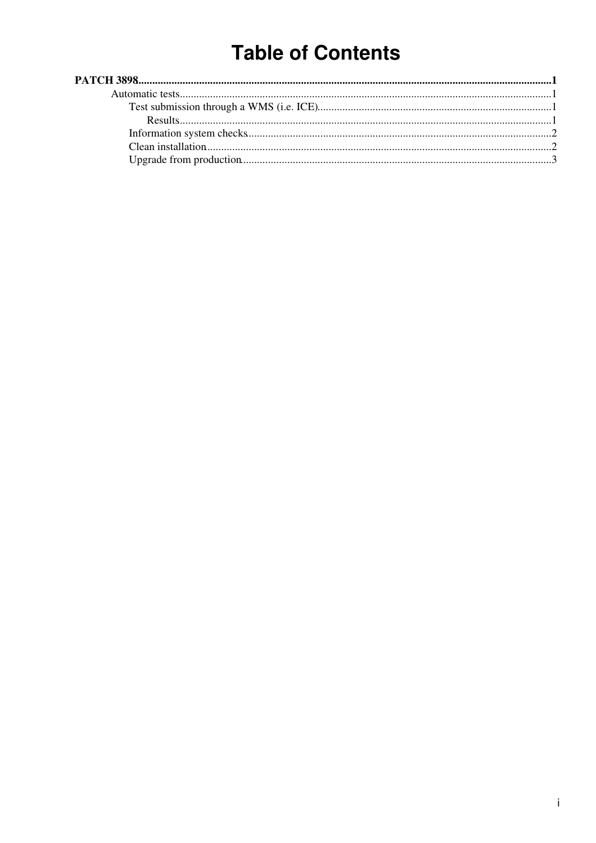# **Table of Contents**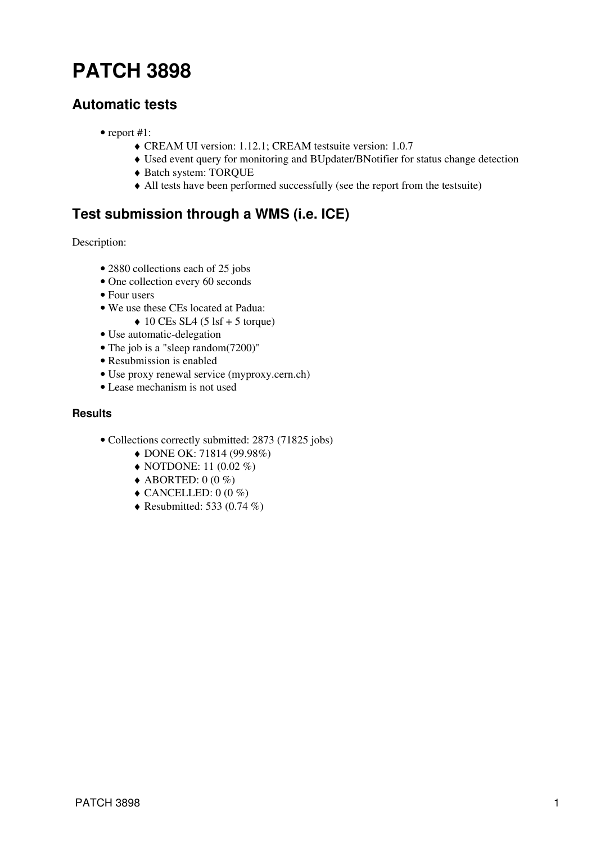# <span id="page-1-0"></span>**[PATCH 3898](https://savannah.cern.ch/patch/index.php?3898)**

## <span id="page-1-1"></span>**Automatic tests**

- report #1:
	- ♦ CREAM UI version: 1.12.1; CREAM testsuite version: 1.0.7
	- ♦ Used event query for monitoring and BUpdater/BNotifier for status change detection
	- ♦ Batch system: TORQUE
	- ♦ All tests have been performed successfully (see the [report](https://wiki-igi.cnaf.infn.it/twiki/pub/EgeeJra1It/CreamTestsP3898/reports_patch_3898.tar.gz) from the testsuite)

# <span id="page-1-2"></span>**Test submission through a WMS (i.e. ICE)**

Description:

- 2880 collections each of 25 jobs
- One collection every 60 seconds
- Four users
- We use these CEs located at Padua:
	- $\triangleleft$  10 CEs SL4 (5 lsf + 5 torque)
- Use automatic-delegation
- The job is a "sleep random(7200)"
- Resubmission is enabled
- Use proxy renewal service (myproxy.cern.ch)
- Lease mechanism is not used

### <span id="page-1-3"></span>**Results**

- Collections correctly submitted: 2873 (71825 jobs)
	- ♦ DONE OK: 71814 (99.98%)
	- $\triangle$  NOTDONE: 11 (0.02 %)
	- $\triangle$  ABORTED: 0 (0 %)
	- $\triangle$  CANCELLED: 0 (0 %)
	- $\triangle$  Resubmitted: [533](https://wiki-igi.cnaf.infn.it/twiki/pub/EgeeJra1It/CreamTestsP3898/failure.txt) (0.74 %)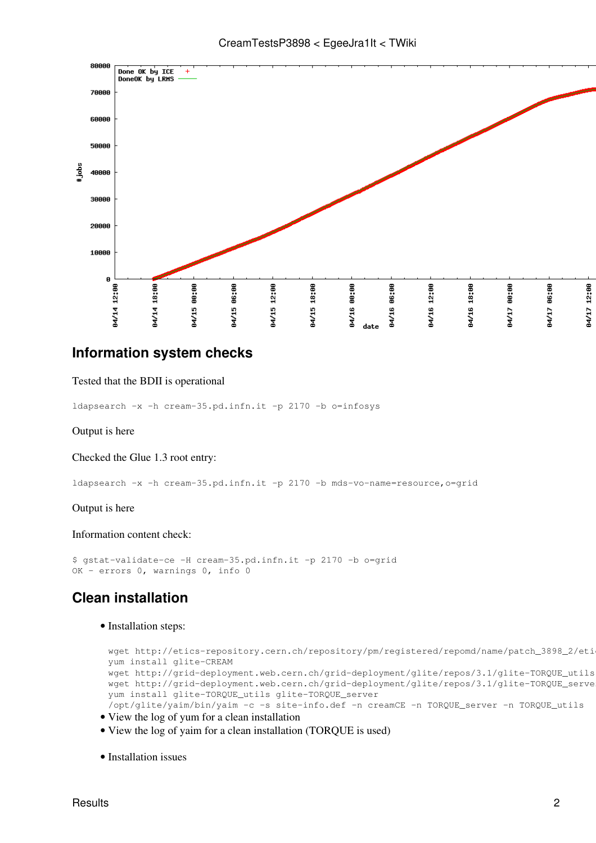



## <span id="page-2-0"></span>**Information system checks**

#### Tested that the BDII is operational

ldapsearch -x -h cream-35.pd.infn.it -p 2170 -b o=infosys

#### Output is [here](https://wiki-igi.cnaf.infn.it/twiki/pub/EgeeJra1It/CreamTestsP3898/infotest1.txt)

#### Checked the Glue 1.3 root entry:

ldapsearch -x -h cream-35.pd.infn.it -p 2170 -b mds-vo-name=resource,o=grid

#### Output is [here](https://wiki-igi.cnaf.infn.it/twiki/pub/EgeeJra1It/CreamTestsP3898/infotest2.txt)

#### Information content check:

```
$ gstat-validate-ce -H cream-35.pd.infn.it -p 2170 -b o=grid
OK - errors 0, warnings 0, info 0
```
## <span id="page-2-1"></span>**Clean installation**

#### • Installation steps:

```
wget http://etics-repository.cern.ch/repository/pm/registered/repomd/name/patch_3898_2/eti
yum install glite-CREAM
wget http://grid-deployment.web.cern.ch/grid-deployment/glite/repos/3.1/glite-TORQUE_utils
wget http://grid-deployment.web.cern.ch/grid-deployment/glite/repos/3.1/glite-TORQUE_serve
yum install glite-TORQUE_utils glite-TORQUE_server
/opt/glite/yaim/bin/yaim -c -s site-info.def -n creamCE -n TORQUE_server -n TORQUE_utils
```
- View the [log](https://wiki-igi.cnaf.infn.it/twiki/pub/EgeeJra1It/CreamTestsP3898/yum_install_log.txt.gz) of yum for a clean installation
- View the [log](https://wiki-igi.cnaf.infn.it/twiki/pub/EgeeJra1It/CreamTestsP3898/yaim_installation_log.txt.gz) of yaim for a clean installation (TORQUE is used)
- Installation issues